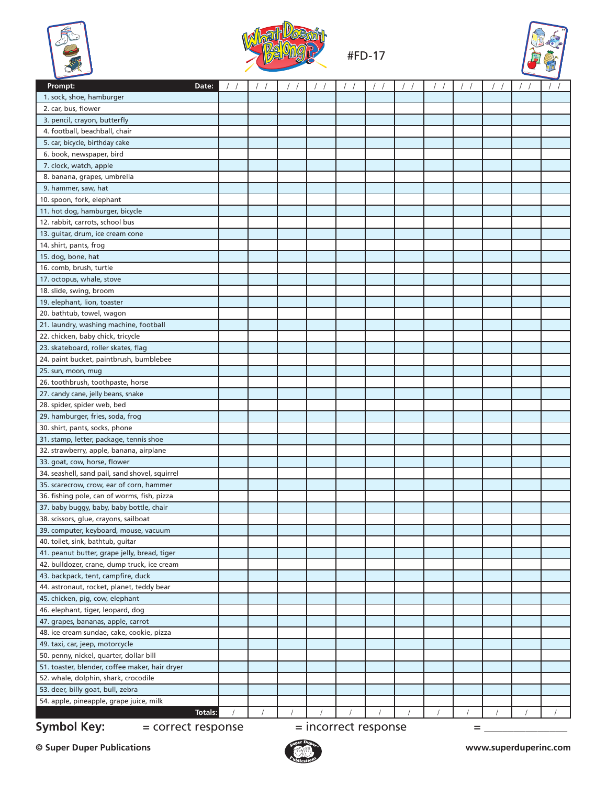



#FD-17



| Prompt:<br>Date:                                                      |  | $\frac{1}{2}$ | $\frac{1}{2}$ | $\frac{1}{2}$ | $\frac{1}{2}$ | $\frac{1}{2}$ | $\frac{1}{2}$ | $\frac{1}{2}$ | $\frac{1}{2}$ | $\frac{1}{2}$ | $\frac{1}{2}$ | $\left  \quad \right $ |
|-----------------------------------------------------------------------|--|---------------|---------------|---------------|---------------|---------------|---------------|---------------|---------------|---------------|---------------|------------------------|
| 1. sock, shoe, hamburger                                              |  |               |               |               |               |               |               |               |               |               |               |                        |
| 2. car, bus, flower                                                   |  |               |               |               |               |               |               |               |               |               |               |                        |
| 3. pencil, crayon, butterfly                                          |  |               |               |               |               |               |               |               |               |               |               |                        |
| 4. football, beachball, chair                                         |  |               |               |               |               |               |               |               |               |               |               |                        |
| 5. car, bicycle, birthday cake                                        |  |               |               |               |               |               |               |               |               |               |               |                        |
| 6. book, newspaper, bird                                              |  |               |               |               |               |               |               |               |               |               |               |                        |
| 7. clock, watch, apple                                                |  |               |               |               |               |               |               |               |               |               |               |                        |
| 8. banana, grapes, umbrella                                           |  |               |               |               |               |               |               |               |               |               |               |                        |
| 9. hammer, saw, hat                                                   |  |               |               |               |               |               |               |               |               |               |               |                        |
| 10. spoon, fork, elephant                                             |  |               |               |               |               |               |               |               |               |               |               |                        |
| 11. hot dog, hamburger, bicycle                                       |  |               |               |               |               |               |               |               |               |               |               |                        |
| 12. rabbit, carrots, school bus                                       |  |               |               |               |               |               |               |               |               |               |               |                        |
| 13. guitar, drum, ice cream cone                                      |  |               |               |               |               |               |               |               |               |               |               |                        |
| 14. shirt, pants, frog                                                |  |               |               |               |               |               |               |               |               |               |               |                        |
| 15. dog, bone, hat                                                    |  |               |               |               |               |               |               |               |               |               |               |                        |
| 16. comb, brush, turtle                                               |  |               |               |               |               |               |               |               |               |               |               |                        |
| 17. octopus, whale, stove                                             |  |               |               |               |               |               |               |               |               |               |               |                        |
| 18. slide, swing, broom                                               |  |               |               |               |               |               |               |               |               |               |               |                        |
| 19. elephant, lion, toaster                                           |  |               |               |               |               |               |               |               |               |               |               |                        |
| 20. bathtub, towel, wagon                                             |  |               |               |               |               |               |               |               |               |               |               |                        |
| 21. laundry, washing machine, football                                |  |               |               |               |               |               |               |               |               |               |               |                        |
| 22. chicken, baby chick, tricycle                                     |  |               |               |               |               |               |               |               |               |               |               |                        |
| 23. skateboard, roller skates, flag                                   |  |               |               |               |               |               |               |               |               |               |               |                        |
| 24. paint bucket, paintbrush, bumblebee                               |  |               |               |               |               |               |               |               |               |               |               |                        |
| 25. sun, moon, mug                                                    |  |               |               |               |               |               |               |               |               |               |               |                        |
| 26. toothbrush, toothpaste, horse                                     |  |               |               |               |               |               |               |               |               |               |               |                        |
| 27. candy cane, jelly beans, snake                                    |  |               |               |               |               |               |               |               |               |               |               |                        |
| 28. spider, spider web, bed                                           |  |               |               |               |               |               |               |               |               |               |               |                        |
| 29. hamburger, fries, soda, frog                                      |  |               |               |               |               |               |               |               |               |               |               |                        |
| 30. shirt, pants, socks, phone                                        |  |               |               |               |               |               |               |               |               |               |               |                        |
| 31. stamp, letter, package, tennis shoe                               |  |               |               |               |               |               |               |               |               |               |               |                        |
| 32. strawberry, apple, banana, airplane                               |  |               |               |               |               |               |               |               |               |               |               |                        |
| 33. goat, cow, horse, flower                                          |  |               |               |               |               |               |               |               |               |               |               |                        |
| 34. seashell, sand pail, sand shovel, squirrel                        |  |               |               |               |               |               |               |               |               |               |               |                        |
| 35. scarecrow, crow, ear of corn, hammer                              |  |               |               |               |               |               |               |               |               |               |               |                        |
| 36. fishing pole, can of worms, fish, pizza                           |  |               |               |               |               |               |               |               |               |               |               |                        |
| 37. baby buggy, baby, baby bottle, chair                              |  |               |               |               |               |               |               |               |               |               |               |                        |
| 38. scissors, glue, crayons, sailboat                                 |  |               |               |               |               |               |               |               |               |               |               |                        |
| 39. computer, keyboard, mouse, vacuum                                 |  |               |               |               |               |               |               |               |               |               |               |                        |
| 40. toilet, sink, bathtub, guitar                                     |  |               |               |               |               |               |               |               |               |               |               |                        |
| 41. peanut butter, grape jelly, bread, tiger                          |  |               |               |               |               |               |               |               |               |               |               |                        |
| 42. bulldozer, crane, dump truck, ice cream                           |  |               |               |               |               |               |               |               |               |               |               |                        |
| 43. backpack, tent, campfire, duck                                    |  |               |               |               |               |               |               |               |               |               |               |                        |
| 44. astronaut, rocket, planet, teddy bear                             |  |               |               |               |               |               |               |               |               |               |               |                        |
| 45. chicken, pig, cow, elephant                                       |  |               |               |               |               |               |               |               |               |               |               |                        |
| 46. elephant, tiger, leopard, dog                                     |  |               |               |               |               |               |               |               |               |               |               |                        |
| 47. grapes, bananas, apple, carrot                                    |  |               |               |               |               |               |               |               |               |               |               |                        |
| 48. ice cream sundae, cake, cookie, pizza                             |  |               |               |               |               |               |               |               |               |               |               |                        |
| 49. taxi, car, jeep, motorcycle                                       |  |               |               |               |               |               |               |               |               |               |               |                        |
| 50. penny, nickel, quarter, dollar bill                               |  |               |               |               |               |               |               |               |               |               |               |                        |
| 51. toaster, blender, coffee maker, hair dryer                        |  |               |               |               |               |               |               |               |               |               |               |                        |
| 52. whale, dolphin, shark, crocodile                                  |  |               |               |               |               |               |               |               |               |               |               |                        |
| 53. deer, billy goat, bull, zebra                                     |  |               |               |               |               |               |               |               |               |               |               |                        |
| 54. apple, pineapple, grape juice, milk                               |  |               |               |               |               |               |               |               |               |               |               |                        |
| Totals:                                                               |  |               |               |               |               |               |               |               |               |               |               |                        |
| <b>Symbol Key:</b><br>= incorrect response<br>= correct response<br>= |  |               |               |               |               |               |               |               |               |               |               |                        |

## **© Super Duper Publications www.superduperinc.com**